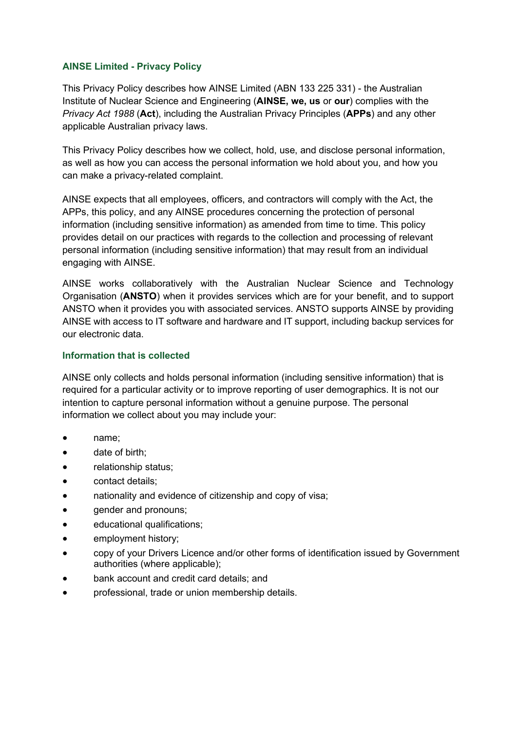## **AINSE Limited - Privacy Policy**

This Privacy Policy describes how AINSE Limited (ABN 133 225 331) - the Australian Institute of Nuclear Science and Engineering (**AINSE, we, us** or **our**) complies with the *Privacy Act 1988* (**Act**), including the Australian Privacy Principles (**APPs**) and any other applicable Australian privacy laws.

This Privacy Policy describes how we collect, hold, use, and disclose personal information, as well as how you can access the personal information we hold about you, and how you can make a privacy-related complaint.

AINSE expects that all employees, officers, and contractors will comply with the Act, the APPs, this policy, and any AINSE procedures concerning the protection of personal information (including sensitive information) as amended from time to time. This policy provides detail on our practices with regards to the collection and processing of relevant personal information (including sensitive information) that may result from an individual engaging with AINSE.

AINSE works collaboratively with the Australian Nuclear Science and Technology Organisation (**ANSTO**) when it provides services which are for your benefit, and to support ANSTO when it provides you with associated services. ANSTO supports AINSE by providing AINSE with access to IT software and hardware and IT support, including backup services for our electronic data.

## **Information that is collected**

AINSE only collects and holds personal information (including sensitive information) that is required for a particular activity or to improve reporting of user demographics. It is not our intention to capture personal information without a genuine purpose. The personal information we collect about you may include your:

- name;
- date of birth:
- relationship status;
- contact details;
- nationality and evidence of citizenship and copy of visa;
- gender and pronouns;
- educational qualifications;
- employment history;
- copy of your Drivers Licence and/or other forms of identification issued by Government authorities (where applicable);
- bank account and credit card details; and
- professional, trade or union membership details.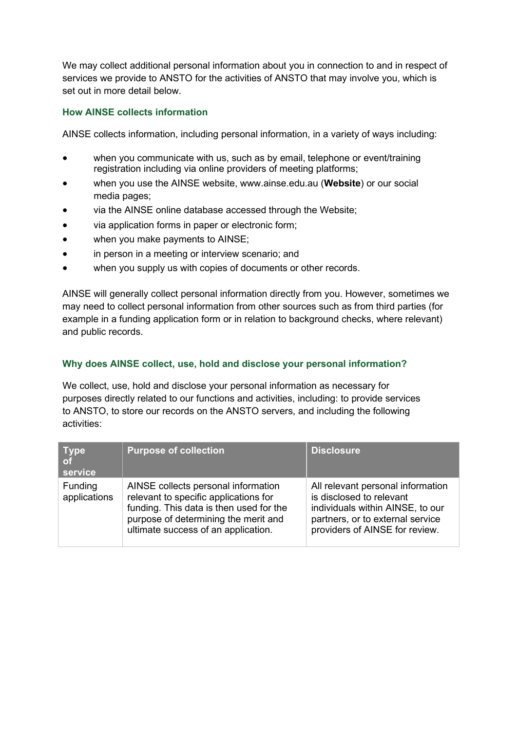We may collect additional personal information about you in connection to and in respect of services we provide to ANSTO for the activities of ANSTO that may involve you, which is set out in more detail below.

# **How AINSE collects information**

AINSE collects information, including personal information, in a variety of ways including:

- when you communicate with us, such as by email, telephone or event/training registration including via online providers of meeting platforms;
- when you use the AINSE website, [www.ainse.edu.au \(](http://www.ainse.edu.au/)**Website**) or our social media pages;
- via the AINSE online database accessed through the Website;
- via application forms in paper or electronic form;
- when you make payments to AINSE;
- in person in a meeting or interview scenario; and
- when you supply us with copies of documents or other records.

AINSE will generally collect personal information directly from you. However, sometimes we may need to collect personal information from other sources such as from third parties (for example in a funding application form or in relation to background checks, where relevant) and public records.

# **Why does AINSE collect, use, hold and disclose your personal information?**

We collect, use, hold and disclose your personal information as necessary for purposes directly related to our functions and activities, including: to provide services to ANSTO, to store our records on the ANSTO servers, and including the following activities:

| <b>Type</b><br>of<br>service | <b>Purpose of collection</b>                                                                                                                                                                           | <b>Disclosure</b>                                                                                                                                                       |
|------------------------------|--------------------------------------------------------------------------------------------------------------------------------------------------------------------------------------------------------|-------------------------------------------------------------------------------------------------------------------------------------------------------------------------|
| Funding<br>applications      | AINSE collects personal information<br>relevant to specific applications for<br>funding. This data is then used for the<br>purpose of determining the merit and<br>ultimate success of an application. | All relevant personal information<br>is disclosed to relevant<br>individuals within AINSE, to our<br>partners, or to external service<br>providers of AINSE for review. |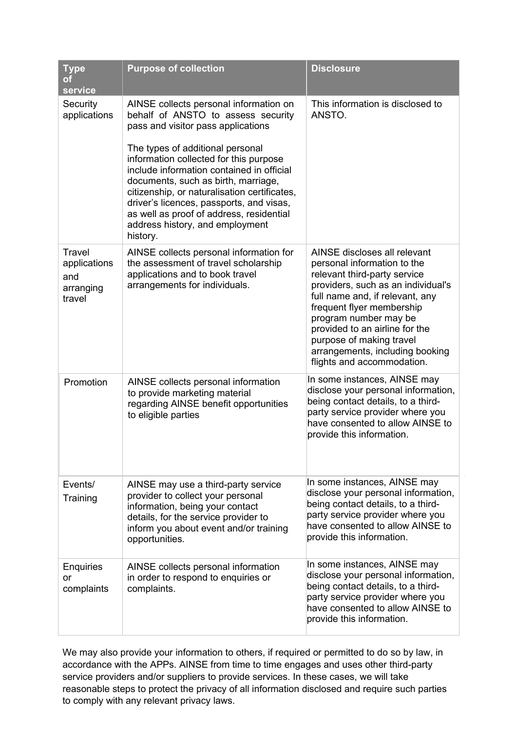| <b>Type</b><br>of<br>service                         | <b>Purpose of collection</b>                                                                                                                                                                                                                                            | <b>Disclosure</b>                                                                                                                                                                                                                                                                                                                                         |
|------------------------------------------------------|-------------------------------------------------------------------------------------------------------------------------------------------------------------------------------------------------------------------------------------------------------------------------|-----------------------------------------------------------------------------------------------------------------------------------------------------------------------------------------------------------------------------------------------------------------------------------------------------------------------------------------------------------|
| Security<br>applications                             | AINSE collects personal information on<br>behalf of ANSTO to assess security<br>pass and visitor pass applications<br>The types of additional personal<br>information collected for this purpose                                                                        | This information is disclosed to<br>ANSTO.                                                                                                                                                                                                                                                                                                                |
|                                                      | include information contained in official<br>documents, such as birth, marriage,<br>citizenship, or naturalisation certificates,<br>driver's licences, passports, and visas,<br>as well as proof of address, residential<br>address history, and employment<br>history. |                                                                                                                                                                                                                                                                                                                                                           |
| Travel<br>applications<br>and<br>arranging<br>travel | AINSE collects personal information for<br>the assessment of travel scholarship<br>applications and to book travel<br>arrangements for individuals.                                                                                                                     | AINSE discloses all relevant<br>personal information to the<br>relevant third-party service<br>providers, such as an individual's<br>full name and, if relevant, any<br>frequent flyer membership<br>program number may be<br>provided to an airline for the<br>purpose of making travel<br>arrangements, including booking<br>flights and accommodation. |
| Promotion                                            | AINSE collects personal information<br>to provide marketing material<br>regarding AINSE benefit opportunities<br>to eligible parties                                                                                                                                    | In some instances, AINSE may<br>disclose your personal information,<br>being contact details, to a third-<br>party service provider where you<br>have consented to allow AINSE to<br>provide this information.                                                                                                                                            |
| Events/<br>Training                                  | AINSE may use a third-party service<br>provider to collect your personal<br>information, being your contact<br>details, for the service provider to<br>inform you about event and/or training<br>opportunities.                                                         | In some instances, AINSE may<br>disclose your personal information,<br>being contact details, to a third-<br>party service provider where you<br>have consented to allow AINSE to<br>provide this information.                                                                                                                                            |
| <b>Enquiries</b><br>or<br>complaints                 | AINSE collects personal information<br>in order to respond to enquiries or<br>complaints.                                                                                                                                                                               | In some instances, AINSE may<br>disclose your personal information,<br>being contact details, to a third-<br>party service provider where you<br>have consented to allow AINSE to<br>provide this information.                                                                                                                                            |

We may also provide your information to others, if required or permitted to do so by law, in accordance with the APPs. AINSE from time to time engages and uses other third-party service providers and/or suppliers to provide services. In these cases, we will take reasonable steps to protect the privacy of all information disclosed and require such parties to comply with any relevant privacy laws.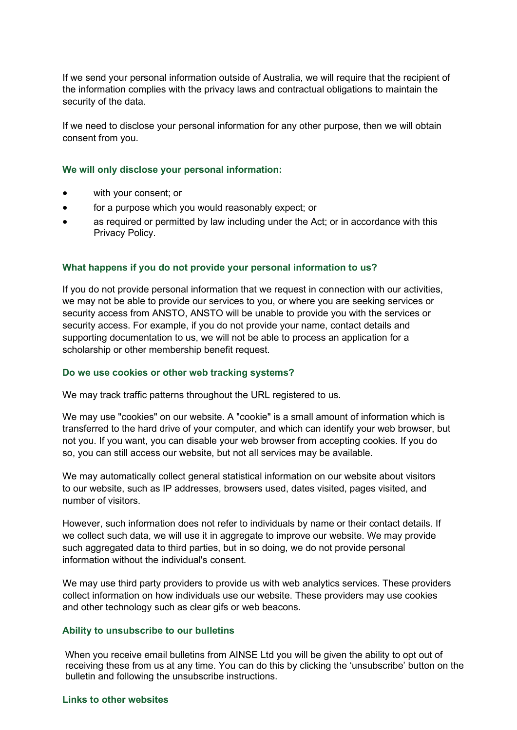If we send your personal information outside of Australia, we will require that the recipient of the information complies with the privacy laws and contractual obligations to maintain the security of the data.

If we need to disclose your personal information for any other purpose, then we will obtain consent from you.

#### **We will only disclose your personal information:**

- with your consent; or
- for a purpose which you would reasonably expect; or
- as required or permitted by law including under the Act; or in accordance with this Privacy Policy.

#### **What happens if you do not provide your personal information to us?**

If you do not provide personal information that we request in connection with our activities, we may not be able to provide our services to you, or where you are seeking services or security access from ANSTO, ANSTO will be unable to provide you with the services or security access. For example, if you do not provide your name, contact details and supporting documentation to us, we will not be able to process an application for a scholarship or other membership benefit request.

#### **Do we use cookies or other web tracking systems?**

We may track traffic patterns throughout the URL registered to us.

We may use "cookies" on our website. A "cookie" is a small amount of information which is transferred to the hard drive of your computer, and which can identify your web browser, but not you. If you want, you can disable your web browser from accepting cookies. If you do so, you can still access our website, but not all services may be available.

We may automatically collect general statistical information on our website about visitors to our website, such as IP addresses, browsers used, dates visited, pages visited, and number of visitors.

However, such information does not refer to individuals by name or their contact details. If we collect such data, we will use it in aggregate to improve our website. We may provide such aggregated data to third parties, but in so doing, we do not provide personal information without the individual's consent.

We may use third party providers to provide us with web analytics services. These providers collect information on how individuals use our website. These providers may use cookies and other technology such as clear gifs or web beacons.

#### **Ability to unsubscribe to our bulletins**

When you receive email bulletins from AINSE Ltd you will be given the ability to opt out of receiving these from us at any time. You can do this by clicking the 'unsubscribe' button on the bulletin and following the unsubscribe instructions.

#### **Links to other websites**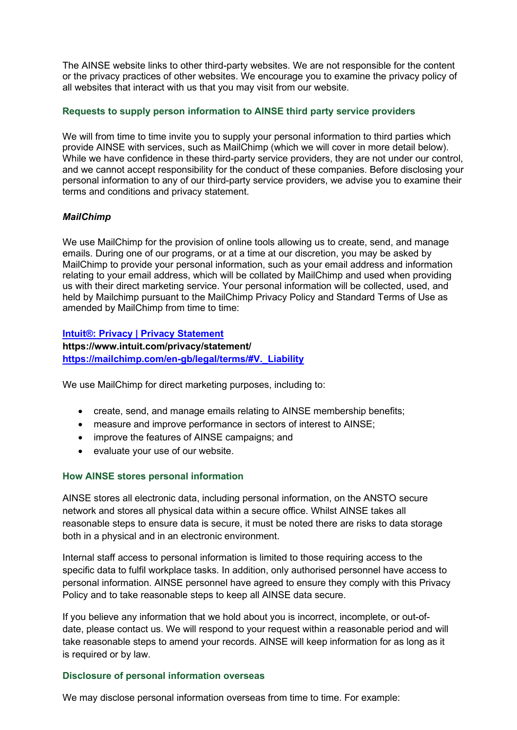The AINSE website links to other third-party websites. We are not responsible for the content or the privacy practices of other websites. We encourage you to examine the privacy policy of all websites that interact with us that you may visit from our website.

## **Requests to supply person information to AINSE third party service providers**

We will from time to time invite you to supply your personal information to third parties which provide AINSE with services, such as MailChimp (which we will cover in more detail below). While we have confidence in these third-party service providers, they are not under our control, and we cannot accept responsibility for the conduct of these companies. Before disclosing your personal information to any of our third-party service providers, we advise you to examine their terms and conditions and privacy statement.

# *MailChimp*

We use MailChimp for the provision of online tools allowing us to create, send, and manage emails. During one of our programs, or at a time at our discretion, you may be asked by MailChimp to provide your personal information, such as your email address and information relating to your email address, which will be collated by MailChimp and used when providing us with their direct marketing service. Your personal information will be collected, used, and held by Mailchimp pursuant to the MailChimp Privacy Policy and Standard Terms of Use as amended by MailChimp from time to time:

## **[Intuit®: Privacy | Privacy Statement](https://www.intuit.com/privacy/statement/)**

**https://www.intuit.com/privacy/statement/ [https://mailchimp.com/en-gb/legal/terms/#V.\\_Liability](https://mailchimp.com/en-gb/legal/terms/#V._Liability)**

We use MailChimp for direct marketing purposes, including to:

- create, send, and manage emails relating to AINSE membership benefits;
- measure and improve performance in sectors of interest to AINSE;
- improve the features of AINSE campaigns; and
- evaluate your use of our website.

# **How AINSE stores personal information**

AINSE stores all electronic data, including personal information, on the ANSTO secure network and stores all physical data within a secure office. Whilst AINSE takes all reasonable steps to ensure data is secure, it must be noted there are risks to data storage both in a physical and in an electronic environment.

Internal staff access to personal information is limited to those requiring access to the specific data to fulfil workplace tasks. In addition, only authorised personnel have access to personal information. AINSE personnel have agreed to ensure they comply with this Privacy Policy and to take reasonable steps to keep all AINSE data secure.

If you believe any information that we hold about you is incorrect, incomplete, or out-ofdate, please contact us. We will respond to your request within a reasonable period and will take reasonable steps to amend your records. AINSE will keep information for as long as it is required or by law.

## **Disclosure of personal information overseas**

We may disclose personal information overseas from time to time. For example: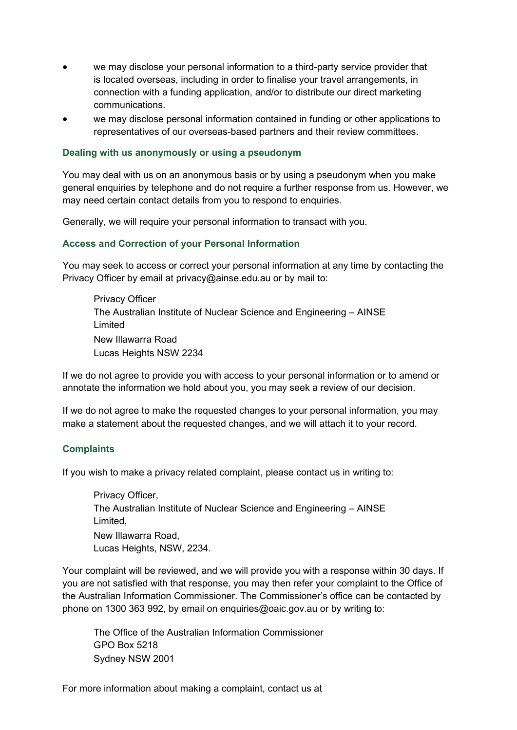- we may disclose your personal information to a third-party service provider that is located overseas, including in order to finalise your travel arrangements, in connection with a funding application, and/or to distribute our direct marketing communications.
- we may disclose personal information contained in funding or other applications to representatives of our overseas-based partners and their review committees.

#### **Dealing with us anonymously or using a pseudonym**

You may deal with us on an anonymous basis or by using a pseudonym when you make general enquiries by telephone and do not require a further response from us. However, we may need certain contact details from you to respond to enquiries.

Generally, we will require your personal information to transact with you.

## **Access and Correction of your Personal Information**

You may seek to access or correct your personal information at any time by contacting the Privacy Officer by email at [privacy@ainse.edu.au o](mailto:privacy@ainse.edu.au)r by mail to:

Privacy Officer The Australian Institute of Nuclear Science and Engineering – AINSE Limited New Illawarra Road Lucas Heights NSW 2234

If we do not agree to provide you with access to your personal information or to amend or annotate the information we hold about you, you may seek a review of our decision.

If we do not agree to make the requested changes to your personal information, you may make a statement about the requested changes, and we will attach it to your record.

## **Complaints**

If you wish to make a privacy related complaint, please contact us in writing to:

Privacy Officer, The Australian Institute of Nuclear Science and Engineering – AINSE Limited, New Illawarra Road, Lucas Heights, NSW, 2234.

Your complaint will be reviewed, and we will provide you with a response within 30 days. If you are not satisfied with that response, you may then refer your complaint to the Office of the Australian Information Commissioner. The Commissioner's office can be contacted by phone on 1300 363 992, by email on [enquiries@oaic.gov.au o](mailto:enquiries@oaic.gov.au)r by writing to:

The Office of the Australian Information Commissioner GPO Box 5218 Sydney NSW 2001